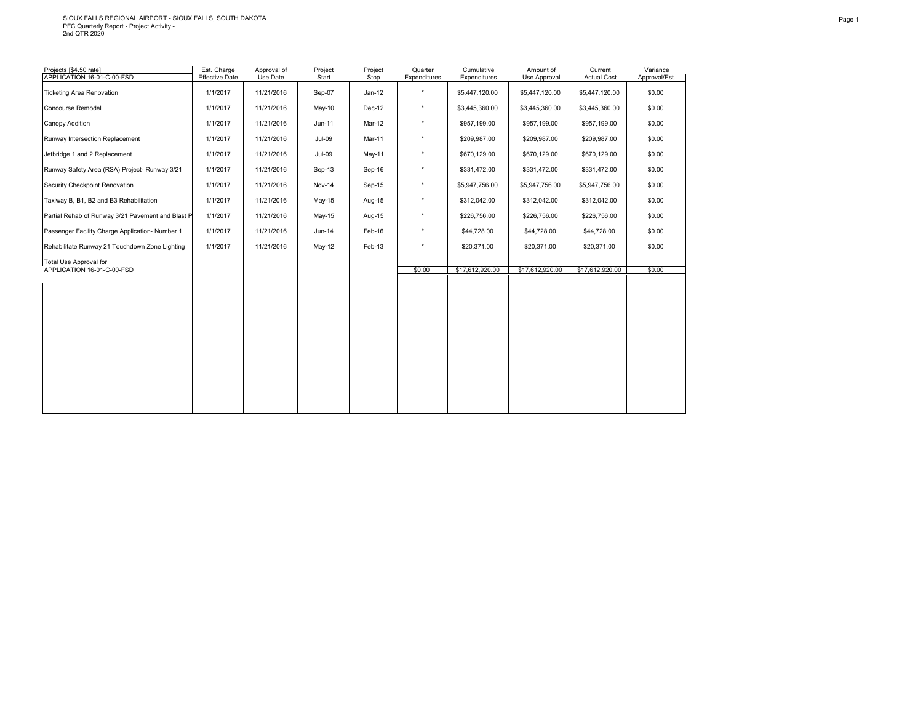# SIOUX FALLS REGIONAL AIRPORT - SIOUX FALLS, SOUTH DAKOTA PFC Quarterly Report - Project Activity - 2nd QTR 2020

| Start<br>Sep-07 | Stop<br>$Jan-12$ | Expenditures | Expenditures   | Use Approval    | <b>Actual Cost</b> |                         |
|-----------------|------------------|--------------|----------------|-----------------|--------------------|-------------------------|
|                 |                  | $\star$      | \$5,447,120.00 | \$5,447,120.00  | \$5,447,120.00     | Approval/Est.<br>\$0.00 |
|                 | Dec-12           | $\star$      | \$3,445,360.00 | \$3,445,360.00  | \$3,445,360.00     | \$0.00                  |
| Jun-11          | Mar-12           | $^\star$     | \$957,199.00   | \$957,199.00    | \$957,199.00       | \$0.00                  |
| $Jul-09$        | Mar-11           | $^\star$     | \$209,987.00   | \$209,987.00    | \$209,987.00       | \$0.00                  |
| $Jul-09$        | May-11           | $^\star$     | \$670,129.00   | \$670,129.00    | \$670,129.00       | \$0.00                  |
| Sep-13          | Sep-16           | $^\star$     | \$331,472.00   | \$331,472.00    | \$331,472.00       | \$0.00                  |
| <b>Nov-14</b>   | Sep-15           | $^\star$     | \$5,947,756.00 | \$5,947,756.00  | \$5,947,756.00     | \$0.00                  |
| May-15          | Aug-15           | $^\star$     | \$312,042.00   | \$312,042.00    | \$312,042.00       | \$0.00                  |
| May-15          | Aug-15           | $\star$      | \$226,756.00   | \$226,756.00    | \$226,756.00       | \$0.00                  |
| Jun-14          | Feb-16           | $^\star$     | \$44,728.00    | \$44,728.00     | \$44,728.00        | \$0.00                  |
| $May-12$        | Feb-13           | $\star$      | \$20,371.00    | \$20,371.00     | \$20,371.00        | \$0.00                  |
|                 |                  |              |                |                 |                    | \$0.00                  |
|                 |                  |              |                |                 |                    |                         |
|                 |                  |              |                |                 |                    |                         |
|                 |                  |              |                |                 |                    |                         |
|                 |                  |              |                |                 |                    |                         |
|                 |                  |              |                |                 |                    |                         |
|                 |                  |              |                |                 |                    |                         |
|                 |                  |              |                |                 |                    |                         |
|                 |                  |              |                |                 |                    |                         |
|                 |                  |              |                |                 |                    |                         |
|                 | May-10           |              | \$0.00         | \$17,612,920.00 | \$17,612,920.00    | \$17,612,920.00         |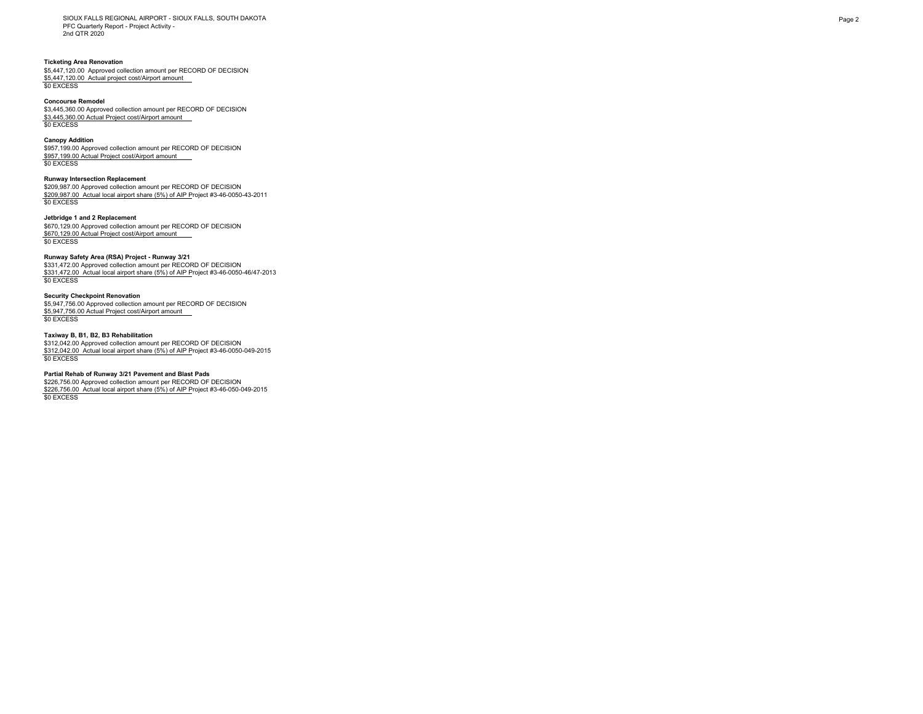SIOUX FALLS REGIONAL AIRPORT - SIOUX FALLS, SOUTH DAKOTA PFC Quarterly Report - Project Activity - 2nd QTR 2020

## **Ticketing Area Renovation**

\$5,447,120.00 Approved collection amount per RECORD OF DECISION \$5,447,120.00 Actual project cost/Airport amount \$0 EXCESS

### **Concourse Remodel**

\$3,445,360.00 Approved collection amount per RECORD OF DECISION \$3,445,360.00 Actual Project cost/Airport amount \$0 EXCESS

### **Canopy Addition**

\$957,199.00 Approved collection amount per RECORD OF DECISION \$957,199.00 Actual Project cost/Airport amount \$0 EXCESS

## **Runway Intersection Replacement**

\$209,987.00 Approved collection amount per RECORD OF DECISION \$209,987.00 Actual local airport share (5%) of AIP Project #3-46-0050-43-2011 \$0 EXCESS

## **Jetbridge 1 and 2 Replacement**

\$670,129.00 Approved collection amount per RECORD OF DECISION \$670,129.00 Actual Project cost/Airport amount \$0 EXCESS

### **Runway Safety Area (RSA) Project - Runway 3/21**

\$331,472.00 Approved collection amount per RECORD OF DECISION \$331,472.00 Actual local airport share (5%) of AIP Project #3-46-0050-46/47-2013 \$0 EXCESS

## **Security Checkpoint Renovation**

\$5,947,756.00 Approved collection amount per RECORD OF DECISION \$5,947,756.00 Actual Project cost/Airport amount \$0 EXCESS

## **Taxiway B, B1, B2, B3 Rehabilitation**

\$312,042.00 Approved collection amount per RECORD OF DECISION \$312,042.00 Actual local airport share (5%) of AIP Project #3-46-0050-049-2015 \$0 EXCESS

## **Partial Rehab of Runway 3/21 Pavement and Blast Pads**

\$226,756.00 Approved collection amount per RECORD OF DECISION \$226,756.00 Actual local airport share (5%) of AIP Project #3-46-050-049-2015 \$0 EXCESS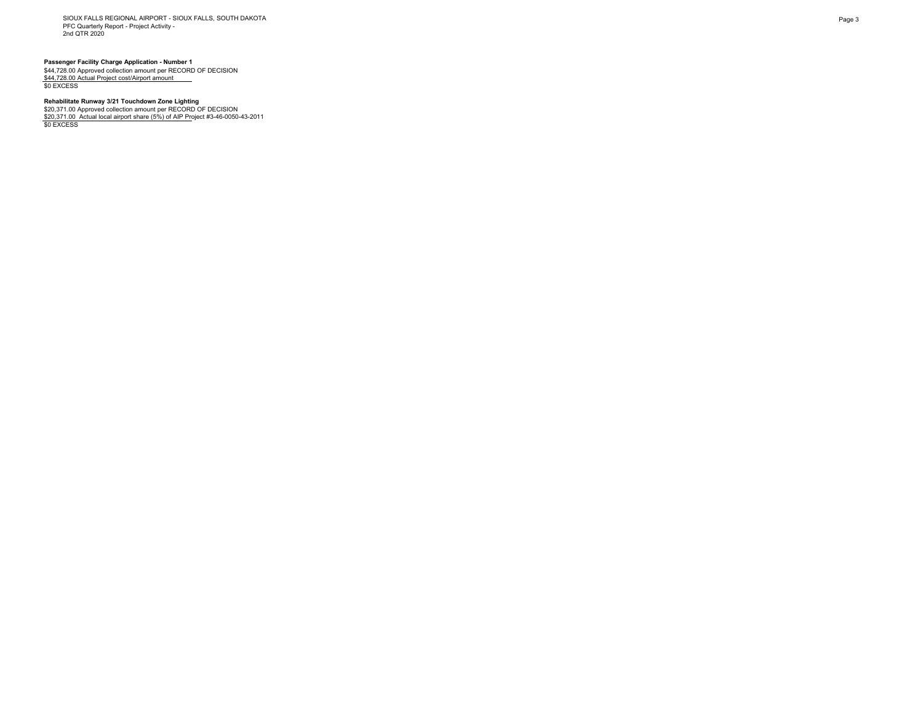SIOUX FALLS REGIONAL AIRPORT - SIOUX FALLS, SOUTH DAKOTA PFC Quarterly Report - Project Activity - 2nd QTR 2020

**Passenger Facility Charge Application - Number 1<br>\$44,728.00 Approved collection amount per RECORD OF DECISION<br><u>\$44,728.00 Actual Project cost/Airport amount \_\_\_</u><br>\$0 EXCESS** 

## **Rehabilitate Runway 3/21 Touchdown Zone Lighting**

\$20,371.00 Approved collection amount per RECORD OF DECISION<br><u>\$20,371.00\_Actual local airport share (5%) of AIP Pr</u>oject #3-46-0050-43-2011<br>\$0 EXCESS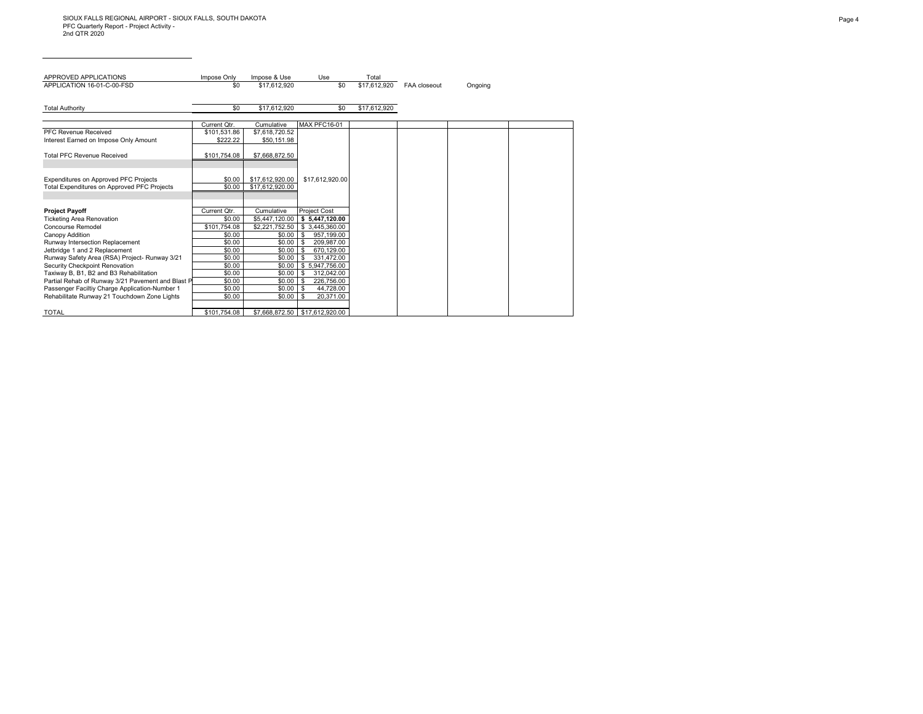| APPROVED APPLICATIONS                                                                        | Impose Only      | Impose & Use                       | Use                                      | Total        |              |         |
|----------------------------------------------------------------------------------------------|------------------|------------------------------------|------------------------------------------|--------------|--------------|---------|
| APPLICATION 16-01-C-00-FSD                                                                   | \$0              | \$17.612.920                       | \$0                                      | \$17.612.920 | FAA closeout | Ongoing |
|                                                                                              |                  |                                    |                                          |              |              |         |
| <b>Total Authority</b>                                                                       | \$0              | \$17,612,920                       | \$0                                      | \$17,612,920 |              |         |
|                                                                                              |                  |                                    |                                          |              |              |         |
|                                                                                              | Current Qtr.     | Cumulative                         | MAX PFC16-01                             |              |              |         |
| PFC Revenue Received                                                                         | \$101,531.86     | \$7,618,720.52                     |                                          |              |              |         |
| Interest Earned on Impose Only Amount                                                        | \$222.22         | \$50.151.98                        |                                          |              |              |         |
|                                                                                              |                  |                                    |                                          |              |              |         |
| <b>Total PFC Revenue Received</b>                                                            | \$101,754.08     | \$7,668,872.50                     |                                          |              |              |         |
|                                                                                              |                  |                                    |                                          |              |              |         |
|                                                                                              |                  |                                    |                                          |              |              |         |
| Expenditures on Approved PFC Projects<br><b>Total Expenditures on Approved PFC Projects</b>  | \$0.00<br>\$0.00 | \$17,612,920.00<br>\$17.612.920.00 | \$17,612,920.00                          |              |              |         |
|                                                                                              |                  |                                    |                                          |              |              |         |
|                                                                                              |                  |                                    |                                          |              |              |         |
| <b>Project Payoff</b>                                                                        | Current Otr.     | Cumulative                         | <b>Project Cost</b>                      |              |              |         |
| <b>Ticketing Area Renovation</b>                                                             | \$0.00           | \$5,447,120.00                     | \$5,447,120.00                           |              |              |         |
| Concourse Remodel                                                                            | \$101.754.08     | \$2.221.752.50                     | \$3.445.360.00                           |              |              |         |
| Canopy Addition                                                                              | \$0.00           | \$0.00                             | 957,199.00<br>- \$                       |              |              |         |
| Runway Intersection Replacement                                                              | \$0.00           | \$0.00                             | 209.987.00<br>- \$                       |              |              |         |
| Jetbridge 1 and 2 Replacement                                                                | \$0.00           | \$0.00                             | 670.129.00<br>-S                         |              |              |         |
| Runway Safety Area (RSA) Project- Runway 3/21                                                | \$0.00           | \$0.00                             | 331,472.00<br>- \$                       |              |              |         |
| Security Checkpoint Renovation                                                               | \$0.00           | \$0.00                             | \$5.947.756.00                           |              |              |         |
| Taxiway B, B1, B2 and B3 Rehabilitation<br>Partial Rehab of Runway 3/21 Pavement and Blast P | \$0.00<br>\$0.00 | \$0.00<br>\$0.00                   | 312,042.00<br>- \$<br>226,756.00<br>l \$ |              |              |         |
| Passenger Faciltiy Charge Application-Number 1                                               | \$0.00           | \$0.00                             | 44,728.00                                |              |              |         |
| Rehabilitate Runway 21 Touchdown Zone Lights                                                 | \$0.00           | \$0.00                             | - \$<br>20.371.00                        |              |              |         |
|                                                                                              |                  |                                    |                                          |              |              |         |
| <b>TOTAL</b>                                                                                 | \$101.754.08     |                                    | \$7.668.872.50 \$17.612.920.00           |              |              |         |